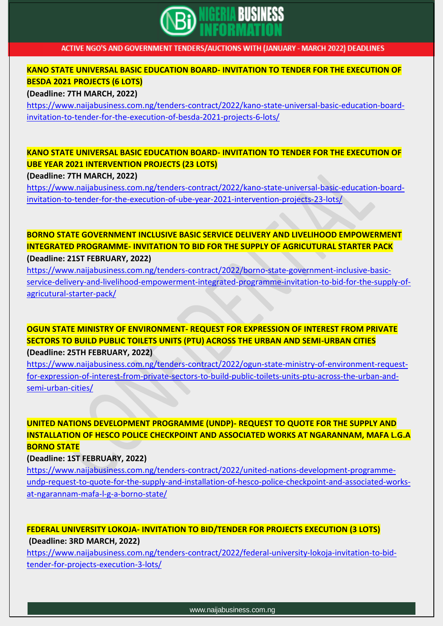

#### **KANO STATE UNIVERSAL BASIC EDUCATION BOARD- INVITATION TO TENDER FOR THE EXECUTION OF BESDA 2021 PROJECTS (6 LOTS)**

**(Deadline: 7TH MARCH, 2022)**

[https://www.naijabusiness.com.ng/tenders-contract/2022/kano-state-universal-basic-education-board](https://www.naijabusiness.com.ng/tenders-contract/2022/kano-state-universal-basic-education-board-invitation-to-tender-for-the-execution-of-besda-2021-projects-6-lots/)[invitation-to-tender-for-the-execution-of-besda-2021-projects-6-lots/](https://www.naijabusiness.com.ng/tenders-contract/2022/kano-state-universal-basic-education-board-invitation-to-tender-for-the-execution-of-besda-2021-projects-6-lots/)

### **KANO STATE UNIVERSAL BASIC EDUCATION BOARD- INVITATION TO TENDER FOR THE EXECUTION OF UBE YEAR 2021 INTERVENTION PROJECTS (23 LOTS)**

**(Deadline: 7TH MARCH, 2022)**

[https://www.naijabusiness.com.ng/tenders-contract/2022/kano-state-universal-basic-education-board](https://www.naijabusiness.com.ng/tenders-contract/2022/kano-state-universal-basic-education-board-invitation-to-tender-for-the-execution-of-ube-year-2021-intervention-projects-23-lots/)[invitation-to-tender-for-the-execution-of-ube-year-2021-intervention-projects-23-lots/](https://www.naijabusiness.com.ng/tenders-contract/2022/kano-state-universal-basic-education-board-invitation-to-tender-for-the-execution-of-ube-year-2021-intervention-projects-23-lots/)

**BORNO STATE GOVERNMENT INCLUSIVE BASIC SERVICE DELIVERY AND LIVELIHOOD EMPOWERMENT INTEGRATED PROGRAMME- INVITATION TO BID FOR THE SUPPLY OF AGRICUTURAL STARTER PACK (Deadline: 21ST FEBRUARY, 2022)**

[https://www.naijabusiness.com.ng/tenders-contract/2022/borno-state-government-inclusive-basic](https://www.naijabusiness.com.ng/tenders-contract/2022/borno-state-government-inclusive-basic-service-delivery-and-livelihood-empowerment-integrated-programme-invitation-to-bid-for-the-supply-of-agricutural-starter-pack/)[service-delivery-and-livelihood-empowerment-integrated-programme-invitation-to-bid-for-the-supply-of](https://www.naijabusiness.com.ng/tenders-contract/2022/borno-state-government-inclusive-basic-service-delivery-and-livelihood-empowerment-integrated-programme-invitation-to-bid-for-the-supply-of-agricutural-starter-pack/)[agricutural-starter-pack/](https://www.naijabusiness.com.ng/tenders-contract/2022/borno-state-government-inclusive-basic-service-delivery-and-livelihood-empowerment-integrated-programme-invitation-to-bid-for-the-supply-of-agricutural-starter-pack/)

#### **OGUN STATE MINISTRY OF ENVIRONMENT- REQUEST FOR EXPRESSION OF INTEREST FROM PRIVATE SECTORS TO BUILD PUBLIC TOILETS UNITS (PTU) ACROSS THE URBAN AND SEMI-URBAN CITIES (Deadline: 25TH FEBRUARY, 2022)**

[https://www.naijabusiness.com.ng/tenders-contract/2022/ogun-state-ministry-of-environment-request](https://www.naijabusiness.com.ng/tenders-contract/2022/ogun-state-ministry-of-environment-request-for-expression-of-interest-from-private-sectors-to-build-public-toilets-units-ptu-across-the-urban-and-semi-urban-cities/)[for-expression-of-interest-from-private-sectors-to-build-public-toilets-units-ptu-across-the-urban-and](https://www.naijabusiness.com.ng/tenders-contract/2022/ogun-state-ministry-of-environment-request-for-expression-of-interest-from-private-sectors-to-build-public-toilets-units-ptu-across-the-urban-and-semi-urban-cities/)[semi-urban-cities/](https://www.naijabusiness.com.ng/tenders-contract/2022/ogun-state-ministry-of-environment-request-for-expression-of-interest-from-private-sectors-to-build-public-toilets-units-ptu-across-the-urban-and-semi-urban-cities/)

**UNITED NATIONS DEVELOPMENT PROGRAMME (UNDP)- REQUEST TO QUOTE FOR THE SUPPLY AND INSTALLATION OF HESCO POLICE CHECKPOINT AND ASSOCIATED WORKS AT NGARANNAM, MAFA L.G.A BORNO STATE**

**(Deadline: 1ST FEBRUARY, 2022)**

[https://www.naijabusiness.com.ng/tenders-contract/2022/united-nations-development-programme](https://www.naijabusiness.com.ng/tenders-contract/2022/united-nations-development-programme-undp-request-to-quote-for-the-supply-and-installation-of-hesco-police-checkpoint-and-associated-works-at-ngarannam-mafa-l-g-a-borno-state/)[undp-request-to-quote-for-the-supply-and-installation-of-hesco-police-checkpoint-and-associated-works](https://www.naijabusiness.com.ng/tenders-contract/2022/united-nations-development-programme-undp-request-to-quote-for-the-supply-and-installation-of-hesco-police-checkpoint-and-associated-works-at-ngarannam-mafa-l-g-a-borno-state/)[at-ngarannam-mafa-l-g-a-borno-state/](https://www.naijabusiness.com.ng/tenders-contract/2022/united-nations-development-programme-undp-request-to-quote-for-the-supply-and-installation-of-hesco-police-checkpoint-and-associated-works-at-ngarannam-mafa-l-g-a-borno-state/)

### **FEDERAL UNIVERSITY LOKOJA- INVITATION TO BID/TENDER FOR PROJECTS EXECUTION (3 LOTS) (Deadline: 3RD MARCH, 2022)**

[https://www.naijabusiness.com.ng/tenders-contract/2022/federal-university-lokoja-invitation-to-bid](https://www.naijabusiness.com.ng/tenders-contract/2022/federal-university-lokoja-invitation-to-bid-tender-for-projects-execution-3-lots/)[tender-for-projects-execution-3-lots/](https://www.naijabusiness.com.ng/tenders-contract/2022/federal-university-lokoja-invitation-to-bid-tender-for-projects-execution-3-lots/)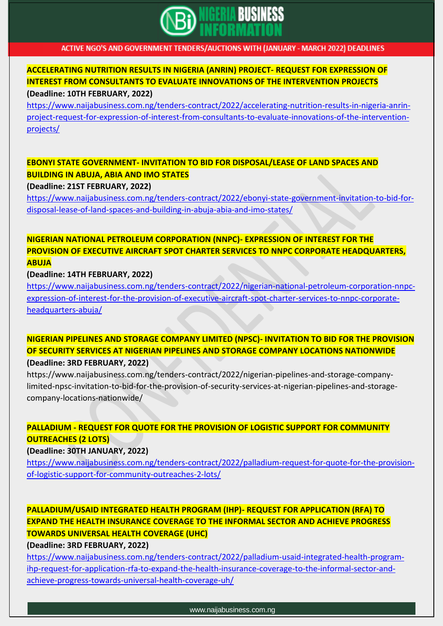

# **ACCELERATING NUTRITION RESULTS IN NIGERIA (ANRIN) PROJECT- REQUEST FOR EXPRESSION OF INTEREST FROM CONSULTANTS TO EVALUATE INNOVATIONS OF THE INTERVENTION PROJECTS**

#### **(Deadline: 10TH FEBRUARY, 2022)**

[https://www.naijabusiness.com.ng/tenders-contract/2022/accelerating-nutrition-results-in-nigeria-anrin](https://www.naijabusiness.com.ng/tenders-contract/2022/accelerating-nutrition-results-in-nigeria-anrin-project-request-for-expression-of-interest-from-consultants-to-evaluate-innovations-of-the-intervention-projects/)[project-request-for-expression-of-interest-from-consultants-to-evaluate-innovations-of-the-intervention](https://www.naijabusiness.com.ng/tenders-contract/2022/accelerating-nutrition-results-in-nigeria-anrin-project-request-for-expression-of-interest-from-consultants-to-evaluate-innovations-of-the-intervention-projects/)[projects/](https://www.naijabusiness.com.ng/tenders-contract/2022/accelerating-nutrition-results-in-nigeria-anrin-project-request-for-expression-of-interest-from-consultants-to-evaluate-innovations-of-the-intervention-projects/)

#### **EBONYI STATE GOVERNMENT- INVITATION TO BID FOR DISPOSAL/LEASE OF LAND SPACES AND BUILDING IN ABUJA, ABIA AND IMO STATES**

#### **(Deadline: 21ST FEBRUARY, 2022)**

[https://www.naijabusiness.com.ng/tenders-contract/2022/ebonyi-state-government-invitation-to-bid-for](https://www.naijabusiness.com.ng/tenders-contract/2022/ebonyi-state-government-invitation-to-bid-for-disposal-lease-of-land-spaces-and-building-in-abuja-abia-and-imo-states/)[disposal-lease-of-land-spaces-and-building-in-abuja-abia-and-imo-states/](https://www.naijabusiness.com.ng/tenders-contract/2022/ebonyi-state-government-invitation-to-bid-for-disposal-lease-of-land-spaces-and-building-in-abuja-abia-and-imo-states/)

### **NIGERIAN NATIONAL PETROLEUM CORPORATION (NNPC)- EXPRESSION OF INTEREST FOR THE PROVISION OF EXECUTIVE AIRCRAFT SPOT CHARTER SERVICES TO NNPC CORPORATE HEADQUARTERS, ABUJA**

#### **(Deadline: 14TH FEBRUARY, 2022)**

[https://www.naijabusiness.com.ng/tenders-contract/2022/nigerian-national-petroleum-corporation-nnpc](https://www.naijabusiness.com.ng/tenders-contract/2022/nigerian-national-petroleum-corporation-nnpc-expression-of-interest-for-the-provision-of-executive-aircraft-spot-charter-services-to-nnpc-corporate-headquarters-abuja/)[expression-of-interest-for-the-provision-of-executive-aircraft-spot-charter-services-to-nnpc-corporate](https://www.naijabusiness.com.ng/tenders-contract/2022/nigerian-national-petroleum-corporation-nnpc-expression-of-interest-for-the-provision-of-executive-aircraft-spot-charter-services-to-nnpc-corporate-headquarters-abuja/)[headquarters-abuja/](https://www.naijabusiness.com.ng/tenders-contract/2022/nigerian-national-petroleum-corporation-nnpc-expression-of-interest-for-the-provision-of-executive-aircraft-spot-charter-services-to-nnpc-corporate-headquarters-abuja/)

#### **NIGERIAN PIPELINES AND STORAGE COMPANY LIMITED (NPSC)- INVITATION TO BID FOR THE PROVISION OF SECURITY SERVICES AT NIGERIAN PIPELINES AND STORAGE COMPANY LOCATIONS NATIONWIDE (Deadline: 3RD FEBRUARY, 2022)**

https://www.naijabusiness.com.ng/tenders-contract/2022/nigerian-pipelines-and-storage-companylimited-npsc-invitation-to-bid-for-the-provision-of-security-services-at-nigerian-pipelines-and-storagecompany-locations-nationwide/

### **PALLADIUM - REQUEST FOR QUOTE FOR THE PROVISION OF LOGISTIC SUPPORT FOR COMMUNITY OUTREACHES (2 LOTS)**

#### **(Deadline: 30TH JANUARY, 2022)**

[https://www.naijabusiness.com.ng/tenders-contract/2022/palladium-request-for-quote-for-the-provision](https://www.naijabusiness.com.ng/tenders-contract/2022/palladium-request-for-quote-for-the-provision-of-logistic-support-for-community-outreaches-2-lots/)[of-logistic-support-for-community-outreaches-2-lots/](https://www.naijabusiness.com.ng/tenders-contract/2022/palladium-request-for-quote-for-the-provision-of-logistic-support-for-community-outreaches-2-lots/)

### **PALLADIUM/USAID INTEGRATED HEALTH PROGRAM (IHP)- REQUEST FOR APPLICATION (RFA) TO EXPAND THE HEALTH INSURANCE COVERAGE TO THE INFORMAL SECTOR AND ACHIEVE PROGRESS TOWARDS UNIVERSAL HEALTH COVERAGE (UHC)**

**(Deadline: 3RD FEBRUARY, 2022)**

[https://www.naijabusiness.com.ng/tenders-contract/2022/palladium-usaid-integrated-health-program](https://www.naijabusiness.com.ng/tenders-contract/2022/palladium-usaid-integrated-health-program-ihp-request-for-application-rfa-to-expand-the-health-insurance-coverage-to-the-informal-sector-and-achieve-progress-towards-universal-health-coverage-uh/)[ihp-request-for-application-rfa-to-expand-the-health-insurance-coverage-to-the-informal-sector-and](https://www.naijabusiness.com.ng/tenders-contract/2022/palladium-usaid-integrated-health-program-ihp-request-for-application-rfa-to-expand-the-health-insurance-coverage-to-the-informal-sector-and-achieve-progress-towards-universal-health-coverage-uh/)[achieve-progress-towards-universal-health-coverage-uh/](https://www.naijabusiness.com.ng/tenders-contract/2022/palladium-usaid-integrated-health-program-ihp-request-for-application-rfa-to-expand-the-health-insurance-coverage-to-the-informal-sector-and-achieve-progress-towards-universal-health-coverage-uh/)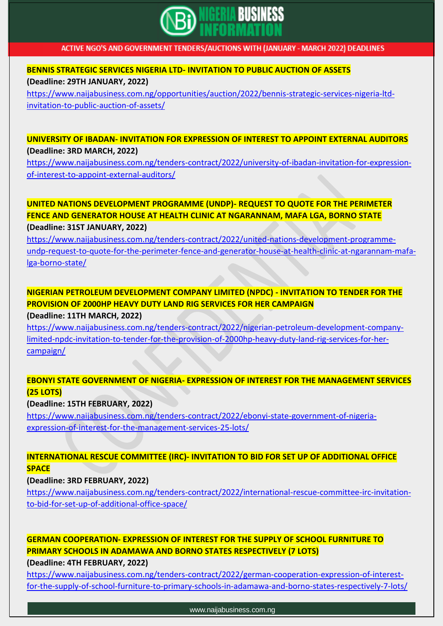

### **BENNIS STRATEGIC SERVICES NIGERIA LTD- INVITATION TO PUBLIC AUCTION OF ASSETS (Deadline: 29TH JANUARY, 2022)**

[https://www.naijabusiness.com.ng/opportunities/auction/2022/bennis-strategic-services-nigeria-ltd](https://www.naijabusiness.com.ng/opportunities/auction/2022/bennis-strategic-services-nigeria-ltd-invitation-to-public-auction-of-assets/)[invitation-to-public-auction-of-assets/](https://www.naijabusiness.com.ng/opportunities/auction/2022/bennis-strategic-services-nigeria-ltd-invitation-to-public-auction-of-assets/)

### **UNIVERSITY OF IBADAN- INVITATION FOR EXPRESSION OF INTEREST TO APPOINT EXTERNAL AUDITORS (Deadline: 3RD MARCH, 2022)**

[https://www.naijabusiness.com.ng/tenders-contract/2022/university-of-ibadan-invitation-for-expression](https://www.naijabusiness.com.ng/tenders-contract/2022/university-of-ibadan-invitation-for-expression-of-interest-to-appoint-external-auditors/)[of-interest-to-appoint-external-auditors/](https://www.naijabusiness.com.ng/tenders-contract/2022/university-of-ibadan-invitation-for-expression-of-interest-to-appoint-external-auditors/)

#### **UNITED NATIONS DEVELOPMENT PROGRAMME (UNDP)- REQUEST TO QUOTE FOR THE PERIMETER FENCE AND GENERATOR HOUSE AT HEALTH CLINIC AT NGARANNAM, MAFA LGA, BORNO STATE (Deadline: 31ST JANUARY, 2022)**

[https://www.naijabusiness.com.ng/tenders-contract/2022/united-nations-development-programme](https://www.naijabusiness.com.ng/tenders-contract/2022/united-nations-development-programme-undp-request-to-quote-for-the-perimeter-fence-and-generator-house-at-health-clinic-at-ngarannam-mafa-lga-borno-state/)[undp-request-to-quote-for-the-perimeter-fence-and-generator-house-at-health-clinic-at-ngarannam-mafa](https://www.naijabusiness.com.ng/tenders-contract/2022/united-nations-development-programme-undp-request-to-quote-for-the-perimeter-fence-and-generator-house-at-health-clinic-at-ngarannam-mafa-lga-borno-state/)[lga-borno-state/](https://www.naijabusiness.com.ng/tenders-contract/2022/united-nations-development-programme-undp-request-to-quote-for-the-perimeter-fence-and-generator-house-at-health-clinic-at-ngarannam-mafa-lga-borno-state/)

### **NIGERIAN PETROLEUM DEVELOPMENT COMPANY LIMITED (NPDC) - INVITATION TO TENDER FOR THE PROVISION OF 2000HP HEAVY DUTY LAND RIG SERVICES FOR HER CAMPAIGN**

#### **(Deadline: 11TH MARCH, 2022)**

[https://www.naijabusiness.com.ng/tenders-contract/2022/nigerian-petroleum-development-company](https://www.naijabusiness.com.ng/tenders-contract/2022/nigerian-petroleum-development-company-limited-npdc-invitation-to-tender-for-the-provision-of-2000hp-heavy-duty-land-rig-services-for-her-campaign/)[limited-npdc-invitation-to-tender-for-the-provision-of-2000hp-heavy-duty-land-rig-services-for-her](https://www.naijabusiness.com.ng/tenders-contract/2022/nigerian-petroleum-development-company-limited-npdc-invitation-to-tender-for-the-provision-of-2000hp-heavy-duty-land-rig-services-for-her-campaign/)[campaign/](https://www.naijabusiness.com.ng/tenders-contract/2022/nigerian-petroleum-development-company-limited-npdc-invitation-to-tender-for-the-provision-of-2000hp-heavy-duty-land-rig-services-for-her-campaign/)

#### **EBONYI STATE GOVERNMENT OF NIGERIA- EXPRESSION OF INTEREST FOR THE MANAGEMENT SERVICES (25 LOTS)**

#### **(Deadline: 15TH FEBRUARY, 2022)**

[https://www.naijabusiness.com.ng/tenders-contract/2022/ebonyi-state-government-of-nigeria](https://www.naijabusiness.com.ng/tenders-contract/2022/ebonyi-state-government-of-nigeria-expression-of-interest-for-the-management-services-25-lots/)[expression-of-interest-for-the-management-services-25-lots/](https://www.naijabusiness.com.ng/tenders-contract/2022/ebonyi-state-government-of-nigeria-expression-of-interest-for-the-management-services-25-lots/)

#### **INTERNATIONAL RESCUE COMMITTEE (IRC)- INVITATION TO BID FOR SET UP OF ADDITIONAL OFFICE SPACE**

#### **(Deadline: 3RD FEBRUARY, 2022)**

[https://www.naijabusiness.com.ng/tenders-contract/2022/international-rescue-committee-irc-invitation](https://www.naijabusiness.com.ng/tenders-contract/2022/international-rescue-committee-irc-invitation-to-bid-for-set-up-of-additional-office-space/)[to-bid-for-set-up-of-additional-office-space/](https://www.naijabusiness.com.ng/tenders-contract/2022/international-rescue-committee-irc-invitation-to-bid-for-set-up-of-additional-office-space/)

**GERMAN COOPERATION- EXPRESSION OF INTEREST FOR THE SUPPLY OF SCHOOL FURNITURE TO PRIMARY SCHOOLS IN ADAMAWA AND BORNO STATES RESPECTIVELY (7 LOTS)**

**(Deadline: 4TH FEBRUARY, 2022)**

[https://www.naijabusiness.com.ng/tenders-contract/2022/german-cooperation-expression-of-interest](https://www.naijabusiness.com.ng/tenders-contract/2022/german-cooperation-expression-of-interest-for-the-supply-of-school-furniture-to-primary-schools-in-adamawa-and-borno-states-respectively-7-lots/)[for-the-supply-of-school-furniture-to-primary-schools-in-adamawa-and-borno-states-respectively-7-lots/](https://www.naijabusiness.com.ng/tenders-contract/2022/german-cooperation-expression-of-interest-for-the-supply-of-school-furniture-to-primary-schools-in-adamawa-and-borno-states-respectively-7-lots/)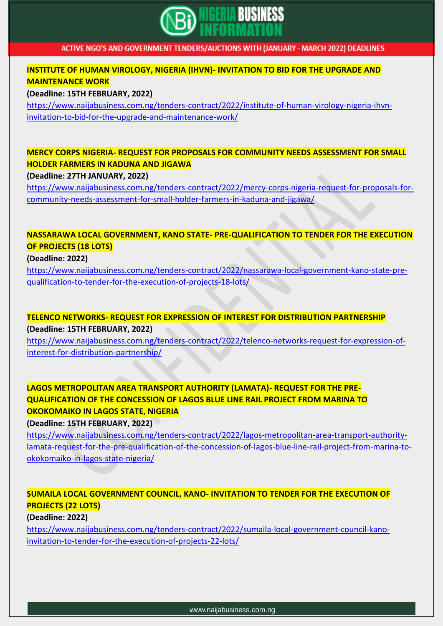

#### **INSTITUTE OF HUMAN VIROLOGY, NIGERIA (IHVN)- INVITATION TO BID FOR THE UPGRADE AND MAINTENANCE WORK**

**(Deadline: 15TH FEBRUARY, 2022)**

[https://www.naijabusiness.com.ng/tenders-contract/2022/institute-of-human-virology-nigeria-ihvn](https://www.naijabusiness.com.ng/tenders-contract/2022/institute-of-human-virology-nigeria-ihvn-invitation-to-bid-for-the-upgrade-and-maintenance-work/)[invitation-to-bid-for-the-upgrade-and-maintenance-work/](https://www.naijabusiness.com.ng/tenders-contract/2022/institute-of-human-virology-nigeria-ihvn-invitation-to-bid-for-the-upgrade-and-maintenance-work/)

### **MERCY CORPS NIGERIA- REQUEST FOR PROPOSALS FOR COMMUNITY NEEDS ASSESSMENT FOR SMALL HOLDER FARMERS IN KADUNA AND JIGAWA**

#### **(Deadline: 27TH JANUARY, 2022)**

[https://www.naijabusiness.com.ng/tenders-contract/2022/mercy-corps-nigeria-request-for-proposals-for](https://www.naijabusiness.com.ng/tenders-contract/2022/mercy-corps-nigeria-request-for-proposals-for-community-needs-assessment-for-small-holder-farmers-in-kaduna-and-jigawa/)[community-needs-assessment-for-small-holder-farmers-in-kaduna-and-jigawa/](https://www.naijabusiness.com.ng/tenders-contract/2022/mercy-corps-nigeria-request-for-proposals-for-community-needs-assessment-for-small-holder-farmers-in-kaduna-and-jigawa/)

### **NASSARAWA LOCAL GOVERNMENT, KANO STATE- PRE-QUALIFICATION TO TENDER FOR THE EXECUTION OF PROJECTS (18 LOTS)**

#### **(Deadline: 2022)**

[https://www.naijabusiness.com.ng/tenders-contract/2022/nassarawa-local-government-kano-state-pre](https://www.naijabusiness.com.ng/tenders-contract/2022/nassarawa-local-government-kano-state-pre-qualification-to-tender-for-the-execution-of-projects-18-lots/)[qualification-to-tender-for-the-execution-of-projects-18-lots/](https://www.naijabusiness.com.ng/tenders-contract/2022/nassarawa-local-government-kano-state-pre-qualification-to-tender-for-the-execution-of-projects-18-lots/)

### **TELENCO NETWORKS- REQUEST FOR EXPRESSION OF INTEREST FOR DISTRIBUTION PARTNERSHIP (Deadline: 15TH FEBRUARY, 2022)**

[https://www.naijabusiness.com.ng/tenders-contract/2022/telenco-networks-request-for-expression-of](https://www.naijabusiness.com.ng/tenders-contract/2022/telenco-networks-request-for-expression-of-interest-for-distribution-partnership/)[interest-for-distribution-partnership/](https://www.naijabusiness.com.ng/tenders-contract/2022/telenco-networks-request-for-expression-of-interest-for-distribution-partnership/)

### **LAGOS METROPOLITAN AREA TRANSPORT AUTHORITY (LAMATA)- REQUEST FOR THE PRE-QUALIFICATION OF THE CONCESSION OF LAGOS BLUE LINE RAIL PROJECT FROM MARINA TO OKOKOMAIKO IN LAGOS STATE, NIGERIA**

**(Deadline: 15TH FEBRUARY, 2022)**

[https://www.naijabusiness.com.ng/tenders-contract/2022/lagos-metropolitan-area-transport-authority](https://www.naijabusiness.com.ng/tenders-contract/2022/lagos-metropolitan-area-transport-authority-lamata-request-for-the-pre-qualification-of-the-concession-of-lagos-blue-line-rail-project-from-marina-to-okokomaiko-in-lagos-state-nigeria/)[lamata-request-for-the-pre-qualification-of-the-concession-of-lagos-blue-line-rail-project-from-marina-to](https://www.naijabusiness.com.ng/tenders-contract/2022/lagos-metropolitan-area-transport-authority-lamata-request-for-the-pre-qualification-of-the-concession-of-lagos-blue-line-rail-project-from-marina-to-okokomaiko-in-lagos-state-nigeria/)[okokomaiko-in-lagos-state-nigeria/](https://www.naijabusiness.com.ng/tenders-contract/2022/lagos-metropolitan-area-transport-authority-lamata-request-for-the-pre-qualification-of-the-concession-of-lagos-blue-line-rail-project-from-marina-to-okokomaiko-in-lagos-state-nigeria/)

### **SUMAILA LOCAL GOVERNMENT COUNCIL, KANO- INVITATION TO TENDER FOR THE EXECUTION OF PROJECTS (22 LOTS)**

#### **(Deadline: 2022)**

[https://www.naijabusiness.com.ng/tenders-contract/2022/sumaila-local-government-council-kano](https://www.naijabusiness.com.ng/tenders-contract/2022/sumaila-local-government-council-kano-invitation-to-tender-for-the-execution-of-projects-22-lots/)[invitation-to-tender-for-the-execution-of-projects-22-lots/](https://www.naijabusiness.com.ng/tenders-contract/2022/sumaila-local-government-council-kano-invitation-to-tender-for-the-execution-of-projects-22-lots/)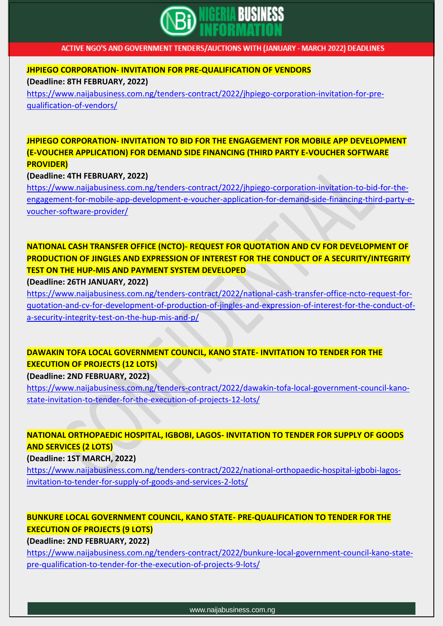

**JHPIEGO CORPORATION- INVITATION FOR PRE-QUALIFICATION OF VENDORS (Deadline: 8TH FEBRUARY, 2022)**

[https://www.naijabusiness.com.ng/tenders-contract/2022/jhpiego-corporation-invitation-for-pre](https://www.naijabusiness.com.ng/tenders-contract/2022/jhpiego-corporation-invitation-for-pre-qualification-of-vendors/)[qualification-of-vendors/](https://www.naijabusiness.com.ng/tenders-contract/2022/jhpiego-corporation-invitation-for-pre-qualification-of-vendors/)

**JHPIEGO CORPORATION- INVITATION TO BID FOR THE ENGAGEMENT FOR MOBILE APP DEVELOPMENT (E-VOUCHER APPLICATION) FOR DEMAND SIDE FINANCING (THIRD PARTY E-VOUCHER SOFTWARE PROVIDER)**

**(Deadline: 4TH FEBRUARY, 2022)**

[https://www.naijabusiness.com.ng/tenders-contract/2022/jhpiego-corporation-invitation-to-bid-for-the](https://www.naijabusiness.com.ng/tenders-contract/2022/jhpiego-corporation-invitation-to-bid-for-the-engagement-for-mobile-app-development-e-voucher-application-for-demand-side-financing-third-party-e-voucher-software-provider/)[engagement-for-mobile-app-development-e-voucher-application-for-demand-side-financing-third-party-e](https://www.naijabusiness.com.ng/tenders-contract/2022/jhpiego-corporation-invitation-to-bid-for-the-engagement-for-mobile-app-development-e-voucher-application-for-demand-side-financing-third-party-e-voucher-software-provider/)[voucher-software-provider/](https://www.naijabusiness.com.ng/tenders-contract/2022/jhpiego-corporation-invitation-to-bid-for-the-engagement-for-mobile-app-development-e-voucher-application-for-demand-side-financing-third-party-e-voucher-software-provider/)

**NATIONAL CASH TRANSFER OFFICE (NCTO)- REQUEST FOR QUOTATION AND CV FOR DEVELOPMENT OF PRODUCTION OF JINGLES AND EXPRESSION OF INTEREST FOR THE CONDUCT OF A SECURITY/INTEGRITY TEST ON THE HUP-MIS AND PAYMENT SYSTEM DEVELOPED**

**(Deadline: 26TH JANUARY, 2022)**

[https://www.naijabusiness.com.ng/tenders-contract/2022/national-cash-transfer-office-ncto-request-for](https://www.naijabusiness.com.ng/tenders-contract/2022/national-cash-transfer-office-ncto-request-for-quotation-and-cv-for-development-of-production-of-jingles-and-expression-of-interest-for-the-conduct-of-a-security-integrity-test-on-the-hup-mis-and-p/)[quotation-and-cv-for-development-of-production-of-jingles-and-expression-of-interest-for-the-conduct-of](https://www.naijabusiness.com.ng/tenders-contract/2022/national-cash-transfer-office-ncto-request-for-quotation-and-cv-for-development-of-production-of-jingles-and-expression-of-interest-for-the-conduct-of-a-security-integrity-test-on-the-hup-mis-and-p/)[a-security-integrity-test-on-the-hup-mis-and-p/](https://www.naijabusiness.com.ng/tenders-contract/2022/national-cash-transfer-office-ncto-request-for-quotation-and-cv-for-development-of-production-of-jingles-and-expression-of-interest-for-the-conduct-of-a-security-integrity-test-on-the-hup-mis-and-p/)

### **DAWAKIN TOFA LOCAL GOVERNMENT COUNCIL, KANO STATE- INVITATION TO TENDER FOR THE EXECUTION OF PROJECTS (12 LOTS)**

**(Deadline: 2ND FEBRUARY, 2022)**

[https://www.naijabusiness.com.ng/tenders-contract/2022/dawakin-tofa-local-government-council-kano](https://www.naijabusiness.com.ng/tenders-contract/2022/dawakin-tofa-local-government-council-kano-state-invitation-to-tender-for-the-execution-of-projects-12-lots/)[state-invitation-to-tender-for-the-execution-of-projects-12-lots/](https://www.naijabusiness.com.ng/tenders-contract/2022/dawakin-tofa-local-government-council-kano-state-invitation-to-tender-for-the-execution-of-projects-12-lots/)

### **NATIONAL ORTHOPAEDIC HOSPITAL, IGBOBI, LAGOS- INVITATION TO TENDER FOR SUPPLY OF GOODS AND SERVICES (2 LOTS)**

**(Deadline: 1ST MARCH, 2022)**

[https://www.naijabusiness.com.ng/tenders-contract/2022/national-orthopaedic-hospital-igbobi-lagos](https://www.naijabusiness.com.ng/tenders-contract/2022/national-orthopaedic-hospital-igbobi-lagos-invitation-to-tender-for-supply-of-goods-and-services-2-lots/)[invitation-to-tender-for-supply-of-goods-and-services-2-lots/](https://www.naijabusiness.com.ng/tenders-contract/2022/national-orthopaedic-hospital-igbobi-lagos-invitation-to-tender-for-supply-of-goods-and-services-2-lots/)

### **BUNKURE LOCAL GOVERNMENT COUNCIL, KANO STATE- PRE-QUALIFICATION TO TENDER FOR THE EXECUTION OF PROJECTS (9 LOTS)**

**(Deadline: 2ND FEBRUARY, 2022)**

[https://www.naijabusiness.com.ng/tenders-contract/2022/bunkure-local-government-council-kano-state](https://www.naijabusiness.com.ng/tenders-contract/2022/bunkure-local-government-council-kano-state-pre-qualification-to-tender-for-the-execution-of-projects-9-lots/)[pre-qualification-to-tender-for-the-execution-of-projects-9-lots/](https://www.naijabusiness.com.ng/tenders-contract/2022/bunkure-local-government-council-kano-state-pre-qualification-to-tender-for-the-execution-of-projects-9-lots/)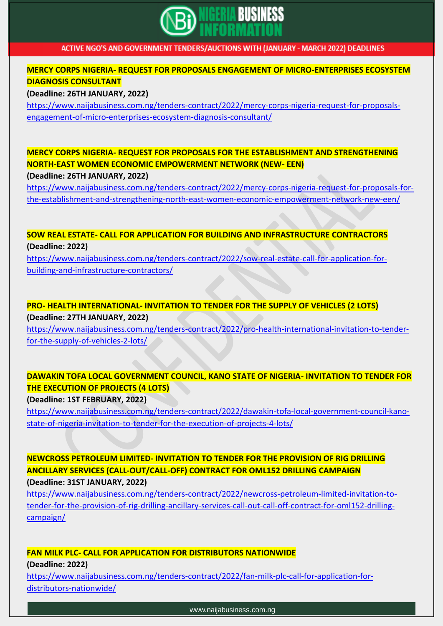

#### **MERCY CORPS NIGERIA- REQUEST FOR PROPOSALS ENGAGEMENT OF MICRO-ENTERPRISES ECOSYSTEM DIAGNOSIS CONSULTANT**

#### **(Deadline: 26TH JANUARY, 2022)**

[https://www.naijabusiness.com.ng/tenders-contract/2022/mercy-corps-nigeria-request-for-proposals](https://www.naijabusiness.com.ng/tenders-contract/2022/mercy-corps-nigeria-request-for-proposals-engagement-of-micro-enterprises-ecosystem-diagnosis-consultant/)[engagement-of-micro-enterprises-ecosystem-diagnosis-consultant/](https://www.naijabusiness.com.ng/tenders-contract/2022/mercy-corps-nigeria-request-for-proposals-engagement-of-micro-enterprises-ecosystem-diagnosis-consultant/)

## **MERCY CORPS NIGERIA- REQUEST FOR PROPOSALS FOR THE ESTABLISHMENT AND STRENGTHENING NORTH-EAST WOMEN ECONOMIC EMPOWERMENT NETWORK (NEW- EEN)**

#### **(Deadline: 26TH JANUARY, 2022)**

[https://www.naijabusiness.com.ng/tenders-contract/2022/mercy-corps-nigeria-request-for-proposals-for](https://www.naijabusiness.com.ng/tenders-contract/2022/mercy-corps-nigeria-request-for-proposals-for-the-establishment-and-strengthening-north-east-women-economic-empowerment-network-new-een/)[the-establishment-and-strengthening-north-east-women-economic-empowerment-network-new-een/](https://www.naijabusiness.com.ng/tenders-contract/2022/mercy-corps-nigeria-request-for-proposals-for-the-establishment-and-strengthening-north-east-women-economic-empowerment-network-new-een/)

#### **SOW REAL ESTATE- CALL FOR APPLICATION FOR BUILDING AND INFRASTRUCTURE CONTRACTORS (Deadline: 2022)**

[https://www.naijabusiness.com.ng/tenders-contract/2022/sow-real-estate-call-for-application-for](https://www.naijabusiness.com.ng/tenders-contract/2022/sow-real-estate-call-for-application-for-building-and-infrastructure-contractors/)[building-and-infrastructure-contractors/](https://www.naijabusiness.com.ng/tenders-contract/2022/sow-real-estate-call-for-application-for-building-and-infrastructure-contractors/)

### **PRO- HEALTH INTERNATIONAL- INVITATION TO TENDER FOR THE SUPPLY OF VEHICLES (2 LOTS) (Deadline: 27TH JANUARY, 2022)**

[https://www.naijabusiness.com.ng/tenders-contract/2022/pro-health-international-invitation-to-tender](https://www.naijabusiness.com.ng/tenders-contract/2022/pro-health-international-invitation-to-tender-for-the-supply-of-vehicles-2-lots/)[for-the-supply-of-vehicles-2-lots/](https://www.naijabusiness.com.ng/tenders-contract/2022/pro-health-international-invitation-to-tender-for-the-supply-of-vehicles-2-lots/)

### **DAWAKIN TOFA LOCAL GOVERNMENT COUNCIL, KANO STATE OF NIGERIA- INVITATION TO TENDER FOR THE EXECUTION OF PROJECTS (4 LOTS)**

**(Deadline: 1ST FEBRUARY, 2022)**

[https://www.naijabusiness.com.ng/tenders-contract/2022/dawakin-tofa-local-government-council-kano](https://www.naijabusiness.com.ng/tenders-contract/2022/dawakin-tofa-local-government-council-kano-state-of-nigeria-invitation-to-tender-for-the-execution-of-projects-4-lots/)[state-of-nigeria-invitation-to-tender-for-the-execution-of-projects-4-lots/](https://www.naijabusiness.com.ng/tenders-contract/2022/dawakin-tofa-local-government-council-kano-state-of-nigeria-invitation-to-tender-for-the-execution-of-projects-4-lots/)

#### **NEWCROSS PETROLEUM LIMITED- INVITATION TO TENDER FOR THE PROVISION OF RIG DRILLING ANCILLARY SERVICES (CALL-OUT/CALL-OFF) CONTRACT FOR OML152 DRILLING CAMPAIGN (Deadline: 31ST JANUARY, 2022)**

[https://www.naijabusiness.com.ng/tenders-contract/2022/newcross-petroleum-limited-invitation-to](https://www.naijabusiness.com.ng/tenders-contract/2022/newcross-petroleum-limited-invitation-to-tender-for-the-provision-of-rig-drilling-ancillary-services-call-out-call-off-contract-for-oml152-drilling-campaign/)[tender-for-the-provision-of-rig-drilling-ancillary-services-call-out-call-off-contract-for-oml152-drilling](https://www.naijabusiness.com.ng/tenders-contract/2022/newcross-petroleum-limited-invitation-to-tender-for-the-provision-of-rig-drilling-ancillary-services-call-out-call-off-contract-for-oml152-drilling-campaign/)[campaign/](https://www.naijabusiness.com.ng/tenders-contract/2022/newcross-petroleum-limited-invitation-to-tender-for-the-provision-of-rig-drilling-ancillary-services-call-out-call-off-contract-for-oml152-drilling-campaign/)

# **FAN MILK PLC- CALL FOR APPLICATION FOR DISTRIBUTORS NATIONWIDE**

**(Deadline: 2022)**

[https://www.naijabusiness.com.ng/tenders-contract/2022/fan-milk-plc-call-for-application-for](https://www.naijabusiness.com.ng/tenders-contract/2022/fan-milk-plc-call-for-application-for-distributors-nationwide/)[distributors-nationwide/](https://www.naijabusiness.com.ng/tenders-contract/2022/fan-milk-plc-call-for-application-for-distributors-nationwide/)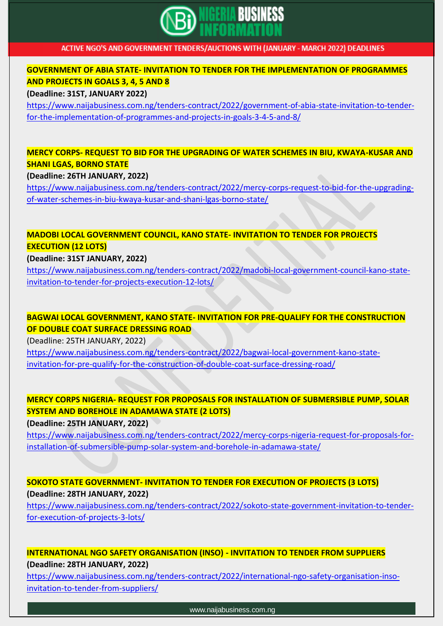

#### **GOVERNMENT OF ABIA STATE- INVITATION TO TENDER FOR THE IMPLEMENTATION OF PROGRAMMES AND PROJECTS IN GOALS 3, 4, 5 AND 8**

#### **(Deadline: 31ST, JANUARY 2022)**

[https://www.naijabusiness.com.ng/tenders-contract/2022/government-of-abia-state-invitation-to-tender](https://www.naijabusiness.com.ng/tenders-contract/2022/government-of-abia-state-invitation-to-tender-for-the-implementation-of-programmes-and-projects-in-goals-3-4-5-and-8/)[for-the-implementation-of-programmes-and-projects-in-goals-3-4-5-and-8/](https://www.naijabusiness.com.ng/tenders-contract/2022/government-of-abia-state-invitation-to-tender-for-the-implementation-of-programmes-and-projects-in-goals-3-4-5-and-8/)

### **MERCY CORPS- REQUEST TO BID FOR THE UPGRADING OF WATER SCHEMES IN BIU, KWAYA-KUSAR AND SHANI LGAS, BORNO STATE**

#### **(Deadline: 26TH JANUARY, 2022)**

[https://www.naijabusiness.com.ng/tenders-contract/2022/mercy-corps-request-to-bid-for-the-upgrading](https://www.naijabusiness.com.ng/tenders-contract/2022/mercy-corps-request-to-bid-for-the-upgrading-of-water-schemes-in-biu-kwaya-kusar-and-shani-lgas-borno-state/)[of-water-schemes-in-biu-kwaya-kusar-and-shani-lgas-borno-state/](https://www.naijabusiness.com.ng/tenders-contract/2022/mercy-corps-request-to-bid-for-the-upgrading-of-water-schemes-in-biu-kwaya-kusar-and-shani-lgas-borno-state/)

### **MADOBI LOCAL GOVERNMENT COUNCIL, KANO STATE- INVITATION TO TENDER FOR PROJECTS EXECUTION (12 LOTS)**

#### **(Deadline: 31ST JANUARY, 2022)**

[https://www.naijabusiness.com.ng/tenders-contract/2022/madobi-local-government-council-kano-state](https://www.naijabusiness.com.ng/tenders-contract/2022/madobi-local-government-council-kano-state-invitation-to-tender-for-projects-execution-12-lots/)[invitation-to-tender-for-projects-execution-12-lots/](https://www.naijabusiness.com.ng/tenders-contract/2022/madobi-local-government-council-kano-state-invitation-to-tender-for-projects-execution-12-lots/)

### **BAGWAI LOCAL GOVERNMENT, KANO STATE- INVITATION FOR PRE-QUALIFY FOR THE CONSTRUCTION OF DOUBLE COAT SURFACE DRESSING ROAD**

(Deadline: 25TH JANUARY, 2022)

[https://www.naijabusiness.com.ng/tenders-contract/2022/bagwai-local-government-kano-state](https://www.naijabusiness.com.ng/tenders-contract/2022/bagwai-local-government-kano-state-invitation-for-pre-qualify-for-the-construction-of-double-coat-surface-dressing-road/)[invitation-for-pre-qualify-for-the-construction-of-double-coat-surface-dressing-road/](https://www.naijabusiness.com.ng/tenders-contract/2022/bagwai-local-government-kano-state-invitation-for-pre-qualify-for-the-construction-of-double-coat-surface-dressing-road/)

### **MERCY CORPS NIGERIA- REQUEST FOR PROPOSALS FOR INSTALLATION OF SUBMERSIBLE PUMP, SOLAR SYSTEM AND BOREHOLE IN ADAMAWA STATE (2 LOTS)**

**(Deadline: 25TH JANUARY, 2022)**

[https://www.naijabusiness.com.ng/tenders-contract/2022/mercy-corps-nigeria-request-for-proposals-for](https://www.naijabusiness.com.ng/tenders-contract/2022/mercy-corps-nigeria-request-for-proposals-for-installation-of-submersible-pump-solar-system-and-borehole-in-adamawa-state/)[installation-of-submersible-pump-solar-system-and-borehole-in-adamawa-state/](https://www.naijabusiness.com.ng/tenders-contract/2022/mercy-corps-nigeria-request-for-proposals-for-installation-of-submersible-pump-solar-system-and-borehole-in-adamawa-state/)

### **SOKOTO STATE GOVERNMENT- INVITATION TO TENDER FOR EXECUTION OF PROJECTS (3 LOTS) (Deadline: 28TH JANUARY, 2022)**

[https://www.naijabusiness.com.ng/tenders-contract/2022/sokoto-state-government-invitation-to-tender](https://www.naijabusiness.com.ng/tenders-contract/2022/sokoto-state-government-invitation-to-tender-for-execution-of-projects-3-lots/)[for-execution-of-projects-3-lots/](https://www.naijabusiness.com.ng/tenders-contract/2022/sokoto-state-government-invitation-to-tender-for-execution-of-projects-3-lots/)

#### **INTERNATIONAL NGO SAFETY ORGANISATION (INSO) - INVITATION TO TENDER FROM SUPPLIERS (Deadline: 28TH JANUARY, 2022)**

[https://www.naijabusiness.com.ng/tenders-contract/2022/international-ngo-safety-organisation-inso](https://www.naijabusiness.com.ng/tenders-contract/2022/international-ngo-safety-organisation-inso-invitation-to-tender-from-suppliers/)[invitation-to-tender-from-suppliers/](https://www.naijabusiness.com.ng/tenders-contract/2022/international-ngo-safety-organisation-inso-invitation-to-tender-from-suppliers/)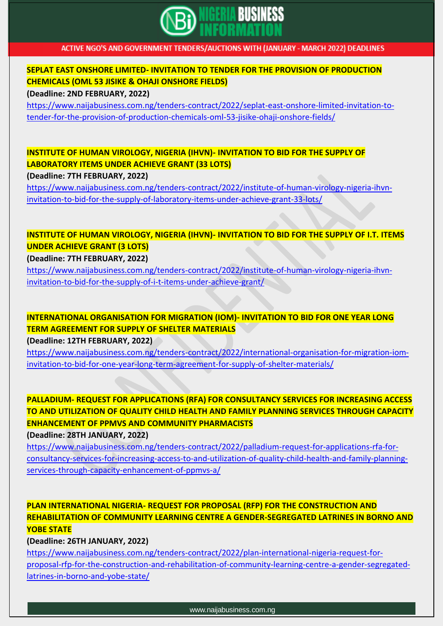

#### **SEPLAT EAST ONSHORE LIMITED- INVITATION TO TENDER FOR THE PROVISION OF PRODUCTION CHEMICALS (OML 53 JISIKE & OHAJI ONSHORE FIELDS)**

**(Deadline: 2ND FEBRUARY, 2022)**

[https://www.naijabusiness.com.ng/tenders-contract/2022/seplat-east-onshore-limited-invitation-to](https://www.naijabusiness.com.ng/tenders-contract/2022/seplat-east-onshore-limited-invitation-to-tender-for-the-provision-of-production-chemicals-oml-53-jisike-ohaji-onshore-fields/)[tender-for-the-provision-of-production-chemicals-oml-53-jisike-ohaji-onshore-fields/](https://www.naijabusiness.com.ng/tenders-contract/2022/seplat-east-onshore-limited-invitation-to-tender-for-the-provision-of-production-chemicals-oml-53-jisike-ohaji-onshore-fields/)

### **INSTITUTE OF HUMAN VIROLOGY, NIGERIA (IHVN)- INVITATION TO BID FOR THE SUPPLY OF LABORATORY ITEMS UNDER ACHIEVE GRANT (33 LOTS)**

**(Deadline: 7TH FEBRUARY, 2022)**

[https://www.naijabusiness.com.ng/tenders-contract/2022/institute-of-human-virology-nigeria-ihvn](https://www.naijabusiness.com.ng/tenders-contract/2022/institute-of-human-virology-nigeria-ihvn-invitation-to-bid-for-the-supply-of-laboratory-items-under-achieve-grant-33-lots/)[invitation-to-bid-for-the-supply-of-laboratory-items-under-achieve-grant-33-lots/](https://www.naijabusiness.com.ng/tenders-contract/2022/institute-of-human-virology-nigeria-ihvn-invitation-to-bid-for-the-supply-of-laboratory-items-under-achieve-grant-33-lots/)

### **INSTITUTE OF HUMAN VIROLOGY, NIGERIA (IHVN)- INVITATION TO BID FOR THE SUPPLY OF I.T. ITEMS UNDER ACHIEVE GRANT (3 LOTS)**

**(Deadline: 7TH FEBRUARY, 2022)**

[https://www.naijabusiness.com.ng/tenders-contract/2022/institute-of-human-virology-nigeria-ihvn](https://www.naijabusiness.com.ng/tenders-contract/2022/institute-of-human-virology-nigeria-ihvn-invitation-to-bid-for-the-supply-of-i-t-items-under-achieve-grant/)[invitation-to-bid-for-the-supply-of-i-t-items-under-achieve-grant/](https://www.naijabusiness.com.ng/tenders-contract/2022/institute-of-human-virology-nigeria-ihvn-invitation-to-bid-for-the-supply-of-i-t-items-under-achieve-grant/)

**INTERNATIONAL ORGANISATION FOR MIGRATION (IOM)- INVITATION TO BID FOR ONE YEAR LONG TERM AGREEMENT FOR SUPPLY OF SHELTER MATERIALS**

**(Deadline: 12TH FEBRUARY, 2022)**

[https://www.naijabusiness.com.ng/tenders-contract/2022/international-organisation-for-migration-iom](https://www.naijabusiness.com.ng/tenders-contract/2022/international-organisation-for-migration-iom-invitation-to-bid-for-one-year-long-term-agreement-for-supply-of-shelter-materials/)[invitation-to-bid-for-one-year-long-term-agreement-for-supply-of-shelter-materials/](https://www.naijabusiness.com.ng/tenders-contract/2022/international-organisation-for-migration-iom-invitation-to-bid-for-one-year-long-term-agreement-for-supply-of-shelter-materials/)

**PALLADIUM- REQUEST FOR APPLICATIONS (RFA) FOR CONSULTANCY SERVICES FOR INCREASING ACCESS TO AND UTILIZATION OF QUALITY CHILD HEALTH AND FAMILY PLANNING SERVICES THROUGH CAPACITY ENHANCEMENT OF PPMVS AND COMMUNITY PHARMACISTS**

**(Deadline: 28TH JANUARY, 2022)**

[https://www.naijabusiness.com.ng/tenders-contract/2022/palladium-request-for-applications-rfa-for](https://www.naijabusiness.com.ng/tenders-contract/2022/palladium-request-for-applications-rfa-for-consultancy-services-for-increasing-access-to-and-utilization-of-quality-child-health-and-family-planning-services-through-capacity-enhancement-of-ppmvs-a/)[consultancy-services-for-increasing-access-to-and-utilization-of-quality-child-health-and-family-planning](https://www.naijabusiness.com.ng/tenders-contract/2022/palladium-request-for-applications-rfa-for-consultancy-services-for-increasing-access-to-and-utilization-of-quality-child-health-and-family-planning-services-through-capacity-enhancement-of-ppmvs-a/)[services-through-capacity-enhancement-of-ppmvs-a/](https://www.naijabusiness.com.ng/tenders-contract/2022/palladium-request-for-applications-rfa-for-consultancy-services-for-increasing-access-to-and-utilization-of-quality-child-health-and-family-planning-services-through-capacity-enhancement-of-ppmvs-a/)

### **PLAN INTERNATIONAL NIGERIA- REQUEST FOR PROPOSAL (RFP) FOR THE CONSTRUCTION AND REHABILITATION OF COMMUNITY LEARNING CENTRE A GENDER-SEGREGATED LATRINES IN BORNO AND YOBE STATE**

**(Deadline: 26TH JANUARY, 2022)**

[https://www.naijabusiness.com.ng/tenders-contract/2022/plan-international-nigeria-request-for](https://www.naijabusiness.com.ng/tenders-contract/2022/plan-international-nigeria-request-for-proposal-rfp-for-the-construction-and-rehabilitation-of-community-learning-centre-a-gender-segregated-latrines-in-borno-and-yobe-state/)[proposal-rfp-for-the-construction-and-rehabilitation-of-community-learning-centre-a-gender-segregated](https://www.naijabusiness.com.ng/tenders-contract/2022/plan-international-nigeria-request-for-proposal-rfp-for-the-construction-and-rehabilitation-of-community-learning-centre-a-gender-segregated-latrines-in-borno-and-yobe-state/)[latrines-in-borno-and-yobe-state/](https://www.naijabusiness.com.ng/tenders-contract/2022/plan-international-nigeria-request-for-proposal-rfp-for-the-construction-and-rehabilitation-of-community-learning-centre-a-gender-segregated-latrines-in-borno-and-yobe-state/)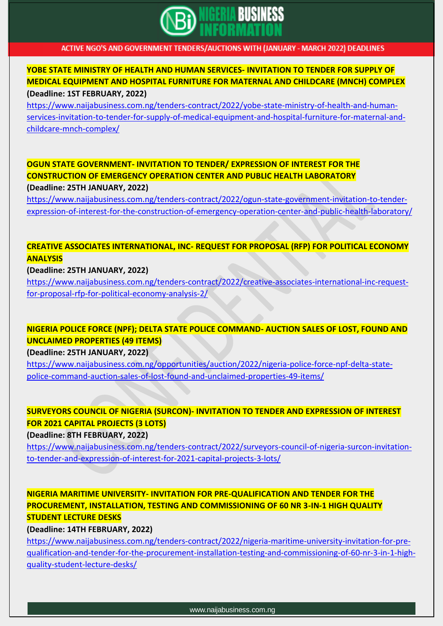

#### **YOBE STATE MINISTRY OF HEALTH AND HUMAN SERVICES- INVITATION TO TENDER FOR SUPPLY OF MEDICAL EQUIPMENT AND HOSPITAL FURNITURE FOR MATERNAL AND CHILDCARE (MNCH) COMPLEX (Deadline: 1ST FEBRUARY, 2022)**

[https://www.naijabusiness.com.ng/tenders-contract/2022/yobe-state-ministry-of-health-and-human](https://www.naijabusiness.com.ng/tenders-contract/2022/yobe-state-ministry-of-health-and-human-services-invitation-to-tender-for-supply-of-medical-equipment-and-hospital-furniture-for-maternal-and-childcare-mnch-complex/)[services-invitation-to-tender-for-supply-of-medical-equipment-and-hospital-furniture-for-maternal-and](https://www.naijabusiness.com.ng/tenders-contract/2022/yobe-state-ministry-of-health-and-human-services-invitation-to-tender-for-supply-of-medical-equipment-and-hospital-furniture-for-maternal-and-childcare-mnch-complex/)[childcare-mnch-complex/](https://www.naijabusiness.com.ng/tenders-contract/2022/yobe-state-ministry-of-health-and-human-services-invitation-to-tender-for-supply-of-medical-equipment-and-hospital-furniture-for-maternal-and-childcare-mnch-complex/)

### **OGUN STATE GOVERNMENT- INVITATION TO TENDER/ EXPRESSION OF INTEREST FOR THE CONSTRUCTION OF EMERGENCY OPERATION CENTER AND PUBLIC HEALTH LABORATORY (Deadline: 25TH JANUARY, 2022)**

[https://www.naijabusiness.com.ng/tenders-contract/2022/ogun-state-government-invitation-to-tender](https://www.naijabusiness.com.ng/tenders-contract/2022/ogun-state-government-invitation-to-tender-expression-of-interest-for-the-construction-of-emergency-operation-center-and-public-health-laboratory/)[expression-of-interest-for-the-construction-of-emergency-operation-center-and-public-health-laboratory/](https://www.naijabusiness.com.ng/tenders-contract/2022/ogun-state-government-invitation-to-tender-expression-of-interest-for-the-construction-of-emergency-operation-center-and-public-health-laboratory/)

### **CREATIVE ASSOCIATES INTERNATIONAL, INC- REQUEST FOR PROPOSAL (RFP) FOR POLITICAL ECONOMY ANALYSIS**

#### **(Deadline: 25TH JANUARY, 2022)**

[https://www.naijabusiness.com.ng/tenders-contract/2022/creative-associates-international-inc-request](https://www.naijabusiness.com.ng/tenders-contract/2022/creative-associates-international-inc-request-for-proposal-rfp-for-political-economy-analysis-2/)[for-proposal-rfp-for-political-economy-analysis-2/](https://www.naijabusiness.com.ng/tenders-contract/2022/creative-associates-international-inc-request-for-proposal-rfp-for-political-economy-analysis-2/)

### **NIGERIA POLICE FORCE (NPF); DELTA STATE POLICE COMMAND- AUCTION SALES OF LOST, FOUND AND UNCLAIMED PROPERTIES (49 ITEMS)**

#### **(Deadline: 25TH JANUARY, 2022)**

[https://www.naijabusiness.com.ng/opportunities/auction/2022/nigeria-police-force-npf-delta-state](https://www.naijabusiness.com.ng/opportunities/auction/2022/nigeria-police-force-npf-delta-state-police-command-auction-sales-of-lost-found-and-unclaimed-properties-49-items/)[police-command-auction-sales-of-lost-found-and-unclaimed-properties-49-items/](https://www.naijabusiness.com.ng/opportunities/auction/2022/nigeria-police-force-npf-delta-state-police-command-auction-sales-of-lost-found-and-unclaimed-properties-49-items/)

### **SURVEYORS COUNCIL OF NIGERIA (SURCON)- INVITATION TO TENDER AND EXPRESSION OF INTEREST FOR 2021 CAPITAL PROJECTS (3 LOTS)**

**(Deadline: 8TH FEBRUARY, 2022)**

[https://www.naijabusiness.com.ng/tenders-contract/2022/surveyors-council-of-nigeria-surcon-invitation](https://www.naijabusiness.com.ng/tenders-contract/2022/surveyors-council-of-nigeria-surcon-invitation-to-tender-and-expression-of-interest-for-2021-capital-projects-3-lots/)[to-tender-and-expression-of-interest-for-2021-capital-projects-3-lots/](https://www.naijabusiness.com.ng/tenders-contract/2022/surveyors-council-of-nigeria-surcon-invitation-to-tender-and-expression-of-interest-for-2021-capital-projects-3-lots/)

### **NIGERIA MARITIME UNIVERSITY- INVITATION FOR PRE-QUALIFICATION AND TENDER FOR THE PROCUREMENT, INSTALLATION, TESTING AND COMMISSIONING OF 60 NR 3-IN-1 HIGH QUALITY STUDENT LECTURE DESKS**

**(Deadline: 14TH FEBRUARY, 2022)**

[https://www.naijabusiness.com.ng/tenders-contract/2022/nigeria-maritime-university-invitation-for-pre](https://www.naijabusiness.com.ng/tenders-contract/2022/nigeria-maritime-university-invitation-for-pre-qualification-and-tender-for-the-procurement-installation-testing-and-commissioning-of-60-nr-3-in-1-high-quality-student-lecture-desks/)[qualification-and-tender-for-the-procurement-installation-testing-and-commissioning-of-60-nr-3-in-1-high](https://www.naijabusiness.com.ng/tenders-contract/2022/nigeria-maritime-university-invitation-for-pre-qualification-and-tender-for-the-procurement-installation-testing-and-commissioning-of-60-nr-3-in-1-high-quality-student-lecture-desks/)[quality-student-lecture-desks/](https://www.naijabusiness.com.ng/tenders-contract/2022/nigeria-maritime-university-invitation-for-pre-qualification-and-tender-for-the-procurement-installation-testing-and-commissioning-of-60-nr-3-in-1-high-quality-student-lecture-desks/)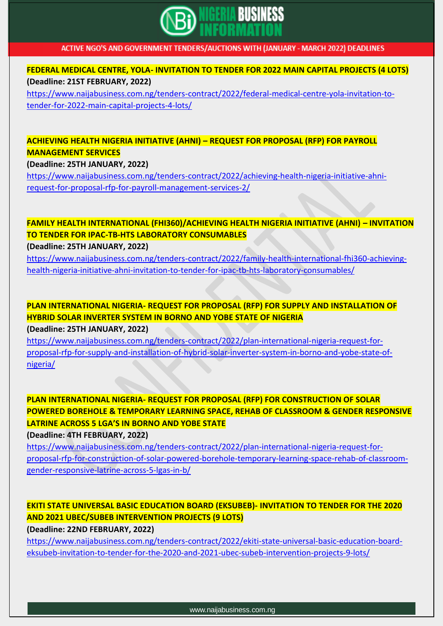

**FEDERAL MEDICAL CENTRE, YOLA- INVITATION TO TENDER FOR 2022 MAIN CAPITAL PROJECTS (4 LOTS) (Deadline: 21ST FEBRUARY, 2022)**

[https://www.naijabusiness.com.ng/tenders-contract/2022/federal-medical-centre-yola-invitation-to](https://www.naijabusiness.com.ng/tenders-contract/2022/federal-medical-centre-yola-invitation-to-tender-for-2022-main-capital-projects-4-lots/)[tender-for-2022-main-capital-projects-4-lots/](https://www.naijabusiness.com.ng/tenders-contract/2022/federal-medical-centre-yola-invitation-to-tender-for-2022-main-capital-projects-4-lots/)

### **ACHIEVING HEALTH NIGERIA INITIATIVE (AHNI) – REQUEST FOR PROPOSAL (RFP) FOR PAYROLL MANAGEMENT SERVICES**

**(Deadline: 25TH JANUARY, 2022)**

[https://www.naijabusiness.com.ng/tenders-contract/2022/achieving-health-nigeria-initiative-ahni](https://www.naijabusiness.com.ng/tenders-contract/2022/achieving-health-nigeria-initiative-ahni-request-for-proposal-rfp-for-payroll-management-services-2/)[request-for-proposal-rfp-for-payroll-management-services-2/](https://www.naijabusiness.com.ng/tenders-contract/2022/achieving-health-nigeria-initiative-ahni-request-for-proposal-rfp-for-payroll-management-services-2/)

### **FAMILY HEALTH INTERNATIONAL (FHI360)/ACHIEVING HEALTH NIGERIA INITIATIVE (AHNI) – INVITATION TO TENDER FOR IPAC-TB-HTS LABORATORY CONSUMABLES**

**(Deadline: 25TH JANUARY, 2022)**

[https://www.naijabusiness.com.ng/tenders-contract/2022/family-health-international-fhi360-achieving](https://www.naijabusiness.com.ng/tenders-contract/2022/family-health-international-fhi360-achieving-health-nigeria-initiative-ahni-invitation-to-tender-for-ipac-tb-hts-laboratory-consumables/)[health-nigeria-initiative-ahni-invitation-to-tender-for-ipac-tb-hts-laboratory-consumables/](https://www.naijabusiness.com.ng/tenders-contract/2022/family-health-international-fhi360-achieving-health-nigeria-initiative-ahni-invitation-to-tender-for-ipac-tb-hts-laboratory-consumables/)

### **PLAN INTERNATIONAL NIGERIA- REQUEST FOR PROPOSAL (RFP) FOR SUPPLY AND INSTALLATION OF HYBRID SOLAR INVERTER SYSTEM IN BORNO AND YOBE STATE OF NIGERIA**

**(Deadline: 25TH JANUARY, 2022)**

[https://www.naijabusiness.com.ng/tenders-contract/2022/plan-international-nigeria-request-for](https://www.naijabusiness.com.ng/tenders-contract/2022/plan-international-nigeria-request-for-proposal-rfp-for-supply-and-installation-of-hybrid-solar-inverter-system-in-borno-and-yobe-state-of-nigeria/)[proposal-rfp-for-supply-and-installation-of-hybrid-solar-inverter-system-in-borno-and-yobe-state-of](https://www.naijabusiness.com.ng/tenders-contract/2022/plan-international-nigeria-request-for-proposal-rfp-for-supply-and-installation-of-hybrid-solar-inverter-system-in-borno-and-yobe-state-of-nigeria/)[nigeria/](https://www.naijabusiness.com.ng/tenders-contract/2022/plan-international-nigeria-request-for-proposal-rfp-for-supply-and-installation-of-hybrid-solar-inverter-system-in-borno-and-yobe-state-of-nigeria/)

**PLAN INTERNATIONAL NIGERIA- REQUEST FOR PROPOSAL (RFP) FOR CONSTRUCTION OF SOLAR POWERED BOREHOLE & TEMPORARY LEARNING SPACE, REHAB OF CLASSROOM & GENDER RESPONSIVE LATRINE ACROSS 5 LGA'S IN BORNO AND YOBE STATE**

**(Deadline: 4TH FEBRUARY, 2022)**

[https://www.naijabusiness.com.ng/tenders-contract/2022/plan-international-nigeria-request-for](https://www.naijabusiness.com.ng/tenders-contract/2022/plan-international-nigeria-request-for-proposal-rfp-for-construction-of-solar-powered-borehole-temporary-learning-space-rehab-of-classroom-gender-responsive-latrine-across-5-lgas-in-b/)[proposal-rfp-for-construction-of-solar-powered-borehole-temporary-learning-space-rehab-of-classroom](https://www.naijabusiness.com.ng/tenders-contract/2022/plan-international-nigeria-request-for-proposal-rfp-for-construction-of-solar-powered-borehole-temporary-learning-space-rehab-of-classroom-gender-responsive-latrine-across-5-lgas-in-b/)[gender-responsive-latrine-across-5-lgas-in-b/](https://www.naijabusiness.com.ng/tenders-contract/2022/plan-international-nigeria-request-for-proposal-rfp-for-construction-of-solar-powered-borehole-temporary-learning-space-rehab-of-classroom-gender-responsive-latrine-across-5-lgas-in-b/)

### **EKITI STATE UNIVERSAL BASIC EDUCATION BOARD (EKSUBEB)- INVITATION TO TENDER FOR THE 2020 AND 2021 UBEC/SUBEB INTERVENTION PROJECTS (9 LOTS)**

**(Deadline: 22ND FEBRUARY, 2022)**

[https://www.naijabusiness.com.ng/tenders-contract/2022/ekiti-state-universal-basic-education-board](https://www.naijabusiness.com.ng/tenders-contract/2022/ekiti-state-universal-basic-education-board-eksubeb-invitation-to-tender-for-the-2020-and-2021-ubec-subeb-intervention-projects-9-lots/)[eksubeb-invitation-to-tender-for-the-2020-and-2021-ubec-subeb-intervention-projects-9-lots/](https://www.naijabusiness.com.ng/tenders-contract/2022/ekiti-state-universal-basic-education-board-eksubeb-invitation-to-tender-for-the-2020-and-2021-ubec-subeb-intervention-projects-9-lots/)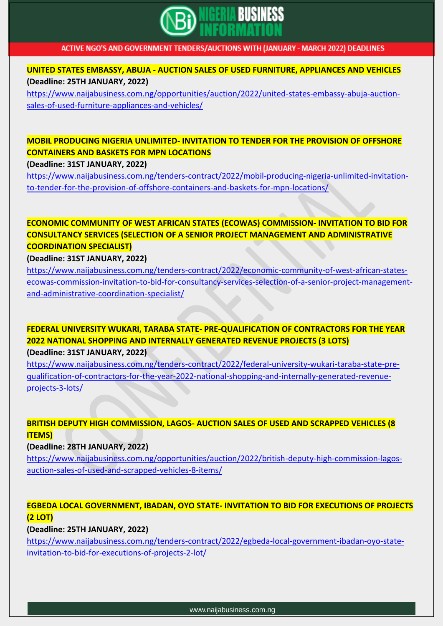

**UNITED STATES EMBASSY, ABUJA - AUCTION SALES OF USED FURNITURE, APPLIANCES AND VEHICLES (Deadline: 25TH JANUARY, 2022)**

[https://www.naijabusiness.com.ng/opportunities/auction/2022/united-states-embassy-abuja-auction](https://www.naijabusiness.com.ng/opportunities/auction/2022/united-states-embassy-abuja-auction-sales-of-used-furniture-appliances-and-vehicles/)[sales-of-used-furniture-appliances-and-vehicles/](https://www.naijabusiness.com.ng/opportunities/auction/2022/united-states-embassy-abuja-auction-sales-of-used-furniture-appliances-and-vehicles/)

### **MOBIL PRODUCING NIGERIA UNLIMITED- INVITATION TO TENDER FOR THE PROVISION OF OFFSHORE CONTAINERS AND BASKETS FOR MPN LOCATIONS**

**(Deadline: 31ST JANUARY, 2022)**

[https://www.naijabusiness.com.ng/tenders-contract/2022/mobil-producing-nigeria-unlimited-invitation](https://www.naijabusiness.com.ng/tenders-contract/2022/mobil-producing-nigeria-unlimited-invitation-to-tender-for-the-provision-of-offshore-containers-and-baskets-for-mpn-locations/)[to-tender-for-the-provision-of-offshore-containers-and-baskets-for-mpn-locations/](https://www.naijabusiness.com.ng/tenders-contract/2022/mobil-producing-nigeria-unlimited-invitation-to-tender-for-the-provision-of-offshore-containers-and-baskets-for-mpn-locations/)

### **ECONOMIC COMMUNITY OF WEST AFRICAN STATES (ECOWAS) COMMISSION- INVITATION TO BID FOR CONSULTANCY SERVICES (SELECTION OF A SENIOR PROJECT MANAGEMENT AND ADMINISTRATIVE COORDINATION SPECIALIST)**

#### **(Deadline: 31ST JANUARY, 2022)**

[https://www.naijabusiness.com.ng/tenders-contract/2022/economic-community-of-west-african-states](https://www.naijabusiness.com.ng/tenders-contract/2022/economic-community-of-west-african-states-ecowas-commission-invitation-to-bid-for-consultancy-services-selection-of-a-senior-project-management-and-administrative-coordination-specialist/)[ecowas-commission-invitation-to-bid-for-consultancy-services-selection-of-a-senior-project-management](https://www.naijabusiness.com.ng/tenders-contract/2022/economic-community-of-west-african-states-ecowas-commission-invitation-to-bid-for-consultancy-services-selection-of-a-senior-project-management-and-administrative-coordination-specialist/)[and-administrative-coordination-specialist/](https://www.naijabusiness.com.ng/tenders-contract/2022/economic-community-of-west-african-states-ecowas-commission-invitation-to-bid-for-consultancy-services-selection-of-a-senior-project-management-and-administrative-coordination-specialist/)

### **FEDERAL UNIVERSITY WUKARI, TARABA STATE- PRE-QUALIFICATION OF CONTRACTORS FOR THE YEAR 2022 NATIONAL SHOPPING AND INTERNALLY GENERATED REVENUE PROJECTS (3 LOTS)**

**(Deadline: 31ST JANUARY, 2022)**

[https://www.naijabusiness.com.ng/tenders-contract/2022/federal-university-wukari-taraba-state-pre](https://www.naijabusiness.com.ng/tenders-contract/2022/federal-university-wukari-taraba-state-pre-qualification-of-contractors-for-the-year-2022-national-shopping-and-internally-generated-revenue-projects-3-lots/)[qualification-of-contractors-for-the-year-2022-national-shopping-and-internally-generated-revenue](https://www.naijabusiness.com.ng/tenders-contract/2022/federal-university-wukari-taraba-state-pre-qualification-of-contractors-for-the-year-2022-national-shopping-and-internally-generated-revenue-projects-3-lots/)[projects-3-lots/](https://www.naijabusiness.com.ng/tenders-contract/2022/federal-university-wukari-taraba-state-pre-qualification-of-contractors-for-the-year-2022-national-shopping-and-internally-generated-revenue-projects-3-lots/)

### **BRITISH DEPUTY HIGH COMMISSION, LAGOS- AUCTION SALES OF USED AND SCRAPPED VEHICLES (8 ITEMS)**

#### **(Deadline: 28TH JANUARY, 2022)**

[https://www.naijabusiness.com.ng/opportunities/auction/2022/british-deputy-high-commission-lagos](https://www.naijabusiness.com.ng/opportunities/auction/2022/british-deputy-high-commission-lagos-auction-sales-of-used-and-scrapped-vehicles-8-items/)[auction-sales-of-used-and-scrapped-vehicles-8-items/](https://www.naijabusiness.com.ng/opportunities/auction/2022/british-deputy-high-commission-lagos-auction-sales-of-used-and-scrapped-vehicles-8-items/)

### **EGBEDA LOCAL GOVERNMENT, IBADAN, OYO STATE- INVITATION TO BID FOR EXECUTIONS OF PROJECTS (2 LOT)**

**(Deadline: 25TH JANUARY, 2022)**

[https://www.naijabusiness.com.ng/tenders-contract/2022/egbeda-local-government-ibadan-oyo-state](https://www.naijabusiness.com.ng/tenders-contract/2022/egbeda-local-government-ibadan-oyo-state-invitation-to-bid-for-executions-of-projects-2-lot/)[invitation-to-bid-for-executions-of-projects-2-lot/](https://www.naijabusiness.com.ng/tenders-contract/2022/egbeda-local-government-ibadan-oyo-state-invitation-to-bid-for-executions-of-projects-2-lot/)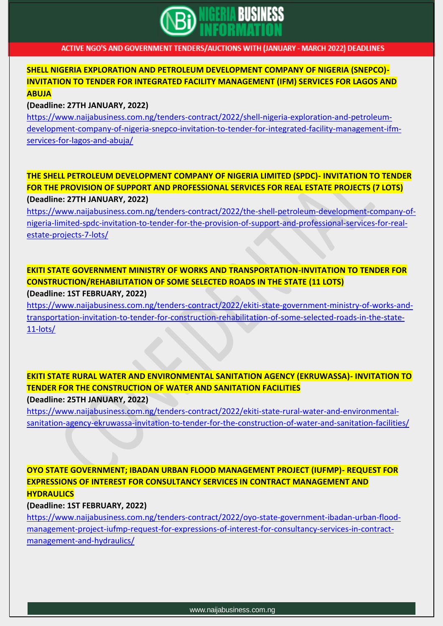

#### **SHELL NIGERIA EXPLORATION AND PETROLEUM DEVELOPMENT COMPANY OF NIGERIA (SNEPCO)- INVITATION TO TENDER FOR INTEGRATED FACILITY MANAGEMENT (IFM) SERVICES FOR LAGOS AND ABUJA**

#### **(Deadline: 27TH JANUARY, 2022)**

[https://www.naijabusiness.com.ng/tenders-contract/2022/shell-nigeria-exploration-and-petroleum](https://www.naijabusiness.com.ng/tenders-contract/2022/shell-nigeria-exploration-and-petroleum-development-company-of-nigeria-snepco-invitation-to-tender-for-integrated-facility-management-ifm-services-for-lagos-and-abuja/)[development-company-of-nigeria-snepco-invitation-to-tender-for-integrated-facility-management-ifm](https://www.naijabusiness.com.ng/tenders-contract/2022/shell-nigeria-exploration-and-petroleum-development-company-of-nigeria-snepco-invitation-to-tender-for-integrated-facility-management-ifm-services-for-lagos-and-abuja/)[services-for-lagos-and-abuja/](https://www.naijabusiness.com.ng/tenders-contract/2022/shell-nigeria-exploration-and-petroleum-development-company-of-nigeria-snepco-invitation-to-tender-for-integrated-facility-management-ifm-services-for-lagos-and-abuja/)

### **THE SHELL PETROLEUM DEVELOPMENT COMPANY OF NIGERIA LIMITED (SPDC)- INVITATION TO TENDER FOR THE PROVISION OF SUPPORT AND PROFESSIONAL SERVICES FOR REAL ESTATE PROJECTS (7 LOTS) (Deadline: 27TH JANUARY, 2022)**

[https://www.naijabusiness.com.ng/tenders-contract/2022/the-shell-petroleum-development-company-of](https://www.naijabusiness.com.ng/tenders-contract/2022/the-shell-petroleum-development-company-of-nigeria-limited-spdc-invitation-to-tender-for-the-provision-of-support-and-professional-services-for-real-estate-projects-7-lots/)[nigeria-limited-spdc-invitation-to-tender-for-the-provision-of-support-and-professional-services-for-real](https://www.naijabusiness.com.ng/tenders-contract/2022/the-shell-petroleum-development-company-of-nigeria-limited-spdc-invitation-to-tender-for-the-provision-of-support-and-professional-services-for-real-estate-projects-7-lots/)[estate-projects-7-lots/](https://www.naijabusiness.com.ng/tenders-contract/2022/the-shell-petroleum-development-company-of-nigeria-limited-spdc-invitation-to-tender-for-the-provision-of-support-and-professional-services-for-real-estate-projects-7-lots/)

#### **EKITI STATE GOVERNMENT MINISTRY OF WORKS AND TRANSPORTATION-INVITATION TO TENDER FOR CONSTRUCTION/REHABILITATION OF SOME SELECTED ROADS IN THE STATE (11 LOTS) (Deadline: 1ST FEBRUARY, 2022)**

[https://www.naijabusiness.com.ng/tenders-contract/2022/ekiti-state-government-ministry-of-works-and](https://www.naijabusiness.com.ng/tenders-contract/2022/ekiti-state-government-ministry-of-works-and-transportation-invitation-to-tender-for-construction-rehabilitation-of-some-selected-roads-in-the-state-11-lots/)[transportation-invitation-to-tender-for-construction-rehabilitation-of-some-selected-roads-in-the-state-](https://www.naijabusiness.com.ng/tenders-contract/2022/ekiti-state-government-ministry-of-works-and-transportation-invitation-to-tender-for-construction-rehabilitation-of-some-selected-roads-in-the-state-11-lots/)[11-lots/](https://www.naijabusiness.com.ng/tenders-contract/2022/ekiti-state-government-ministry-of-works-and-transportation-invitation-to-tender-for-construction-rehabilitation-of-some-selected-roads-in-the-state-11-lots/)

**EKITI STATE RURAL WATER AND ENVIRONMENTAL SANITATION AGENCY (EKRUWASSA)- INVITATION TO TENDER FOR THE CONSTRUCTION OF WATER AND SANITATION FACILITIES**

**(Deadline: 25TH JANUARY, 2022)**

[https://www.naijabusiness.com.ng/tenders-contract/2022/ekiti-state-rural-water-and-environmental](https://www.naijabusiness.com.ng/tenders-contract/2022/ekiti-state-rural-water-and-environmental-sanitation-agency-ekruwassa-invitation-to-tender-for-the-construction-of-water-and-sanitation-facilities/)[sanitation-agency-ekruwassa-invitation-to-tender-for-the-construction-of-water-and-sanitation-facilities/](https://www.naijabusiness.com.ng/tenders-contract/2022/ekiti-state-rural-water-and-environmental-sanitation-agency-ekruwassa-invitation-to-tender-for-the-construction-of-water-and-sanitation-facilities/)

**OYO STATE GOVERNMENT; IBADAN URBAN FLOOD MANAGEMENT PROJECT (IUFMP)- REQUEST FOR EXPRESSIONS OF INTEREST FOR CONSULTANCY SERVICES IN CONTRACT MANAGEMENT AND HYDRAULICS**

**(Deadline: 1ST FEBRUARY, 2022)**

[https://www.naijabusiness.com.ng/tenders-contract/2022/oyo-state-government-ibadan-urban-flood](https://www.naijabusiness.com.ng/tenders-contract/2022/oyo-state-government-ibadan-urban-flood-management-project-iufmp-request-for-expressions-of-interest-for-consultancy-services-in-contract-management-and-hydraulics/)[management-project-iufmp-request-for-expressions-of-interest-for-consultancy-services-in-contract](https://www.naijabusiness.com.ng/tenders-contract/2022/oyo-state-government-ibadan-urban-flood-management-project-iufmp-request-for-expressions-of-interest-for-consultancy-services-in-contract-management-and-hydraulics/)[management-and-hydraulics/](https://www.naijabusiness.com.ng/tenders-contract/2022/oyo-state-government-ibadan-urban-flood-management-project-iufmp-request-for-expressions-of-interest-for-consultancy-services-in-contract-management-and-hydraulics/)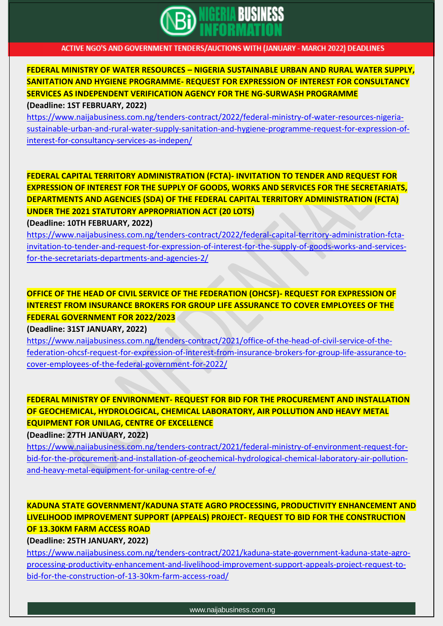

**FEDERAL MINISTRY OF WATER RESOURCES – NIGERIA SUSTAINABLE URBAN AND RURAL WATER SUPPLY, SANITATION AND HYGIENE PROGRAMME- REQUEST FOR EXPRESSION OF INTEREST FOR CONSULTANCY SERVICES AS INDEPENDENT VERIFICATION AGENCY FOR THE NG-SURWASH PROGRAMME (Deadline: 1ST FEBRUARY, 2022)**

[https://www.naijabusiness.com.ng/tenders-contract/2022/federal-ministry-of-water-resources-nigeria](https://www.naijabusiness.com.ng/tenders-contract/2022/federal-ministry-of-water-resources-nigeria-sustainable-urban-and-rural-water-supply-sanitation-and-hygiene-programme-request-for-expression-of-interest-for-consultancy-services-as-indepen/)[sustainable-urban-and-rural-water-supply-sanitation-and-hygiene-programme-request-for-expression-of](https://www.naijabusiness.com.ng/tenders-contract/2022/federal-ministry-of-water-resources-nigeria-sustainable-urban-and-rural-water-supply-sanitation-and-hygiene-programme-request-for-expression-of-interest-for-consultancy-services-as-indepen/)[interest-for-consultancy-services-as-indepen/](https://www.naijabusiness.com.ng/tenders-contract/2022/federal-ministry-of-water-resources-nigeria-sustainable-urban-and-rural-water-supply-sanitation-and-hygiene-programme-request-for-expression-of-interest-for-consultancy-services-as-indepen/)

**FEDERAL CAPITAL TERRITORY ADMINISTRATION (FCTA)- INVITATION TO TENDER AND REQUEST FOR EXPRESSION OF INTEREST FOR THE SUPPLY OF GOODS, WORKS AND SERVICES FOR THE SECRETARIATS, DEPARTMENTS AND AGENCIES (SDA) OF THE FEDERAL CAPITAL TERRITORY ADMINISTRATION (FCTA) UNDER THE 2021 STATUTORY APPROPRIATION ACT (20 LOTS)**

**(Deadline: 10TH FEBRUARY, 2022)**

[https://www.naijabusiness.com.ng/tenders-contract/2022/federal-capital-territory-administration-fcta](https://www.naijabusiness.com.ng/tenders-contract/2022/federal-capital-territory-administration-fcta-invitation-to-tender-and-request-for-expression-of-interest-for-the-supply-of-goods-works-and-services-for-the-secretariats-departments-and-agencies-2/)[invitation-to-tender-and-request-for-expression-of-interest-for-the-supply-of-goods-works-and-services](https://www.naijabusiness.com.ng/tenders-contract/2022/federal-capital-territory-administration-fcta-invitation-to-tender-and-request-for-expression-of-interest-for-the-supply-of-goods-works-and-services-for-the-secretariats-departments-and-agencies-2/)[for-the-secretariats-departments-and-agencies-2/](https://www.naijabusiness.com.ng/tenders-contract/2022/federal-capital-territory-administration-fcta-invitation-to-tender-and-request-for-expression-of-interest-for-the-supply-of-goods-works-and-services-for-the-secretariats-departments-and-agencies-2/)

### **OFFICE OF THE HEAD OF CIVIL SERVICE OF THE FEDERATION (OHCSF)- REQUEST FOR EXPRESSION OF INTEREST FROM INSURANCE BROKERS FOR GROUP LIFE ASSURANCE TO COVER EMPLOYEES OF THE FEDERAL GOVERNMENT FOR 2022/2023**

**(Deadline: 31ST JANUARY, 2022)**

[https://www.naijabusiness.com.ng/tenders-contract/2021/office-of-the-head-of-civil-service-of-the](https://www.naijabusiness.com.ng/tenders-contract/2021/office-of-the-head-of-civil-service-of-the-federation-ohcsf-request-for-expression-of-interest-from-insurance-brokers-for-group-life-assurance-to-cover-employees-of-the-federal-government-for-2022/)[federation-ohcsf-request-for-expression-of-interest-from-insurance-brokers-for-group-life-assurance-to](https://www.naijabusiness.com.ng/tenders-contract/2021/office-of-the-head-of-civil-service-of-the-federation-ohcsf-request-for-expression-of-interest-from-insurance-brokers-for-group-life-assurance-to-cover-employees-of-the-federal-government-for-2022/)[cover-employees-of-the-federal-government-for-2022/](https://www.naijabusiness.com.ng/tenders-contract/2021/office-of-the-head-of-civil-service-of-the-federation-ohcsf-request-for-expression-of-interest-from-insurance-brokers-for-group-life-assurance-to-cover-employees-of-the-federal-government-for-2022/)

### **FEDERAL MINISTRY OF ENVIRONMENT- REQUEST FOR BID FOR THE PROCUREMENT AND INSTALLATION OF GEOCHEMICAL, HYDROLOGICAL, CHEMICAL LABORATORY, AIR POLLUTION AND HEAVY METAL EQUIPMENT FOR UNILAG, CENTRE OF EXCELLENCE**

**(Deadline: 27TH JANUARY, 2022)**

[https://www.naijabusiness.com.ng/tenders-contract/2021/federal-ministry-of-environment-request-for](https://www.naijabusiness.com.ng/tenders-contract/2021/federal-ministry-of-environment-request-for-bid-for-the-procurement-and-installation-of-geochemical-hydrological-chemical-laboratory-air-pollution-and-heavy-metal-equipment-for-unilag-centre-of-e/)[bid-for-the-procurement-and-installation-of-geochemical-hydrological-chemical-laboratory-air-pollution](https://www.naijabusiness.com.ng/tenders-contract/2021/federal-ministry-of-environment-request-for-bid-for-the-procurement-and-installation-of-geochemical-hydrological-chemical-laboratory-air-pollution-and-heavy-metal-equipment-for-unilag-centre-of-e/)[and-heavy-metal-equipment-for-unilag-centre-of-e/](https://www.naijabusiness.com.ng/tenders-contract/2021/federal-ministry-of-environment-request-for-bid-for-the-procurement-and-installation-of-geochemical-hydrological-chemical-laboratory-air-pollution-and-heavy-metal-equipment-for-unilag-centre-of-e/)

### **KADUNA STATE GOVERNMENT/KADUNA STATE AGRO PROCESSING, PRODUCTIVITY ENHANCEMENT AND LIVELIHOOD IMPROVEMENT SUPPORT (APPEALS) PROJECT- REQUEST TO BID FOR THE CONSTRUCTION OF 13.30KM FARM ACCESS ROAD**

**(Deadline: 25TH JANUARY, 2022)**

[https://www.naijabusiness.com.ng/tenders-contract/2021/kaduna-state-government-kaduna-state-agro](https://www.naijabusiness.com.ng/tenders-contract/2021/kaduna-state-government-kaduna-state-agro-processing-productivity-enhancement-and-livelihood-improvement-support-appeals-project-request-to-bid-for-the-construction-of-13-30km-farm-access-road/)[processing-productivity-enhancement-and-livelihood-improvement-support-appeals-project-request-to](https://www.naijabusiness.com.ng/tenders-contract/2021/kaduna-state-government-kaduna-state-agro-processing-productivity-enhancement-and-livelihood-improvement-support-appeals-project-request-to-bid-for-the-construction-of-13-30km-farm-access-road/)[bid-for-the-construction-of-13-30km-farm-access-road/](https://www.naijabusiness.com.ng/tenders-contract/2021/kaduna-state-government-kaduna-state-agro-processing-productivity-enhancement-and-livelihood-improvement-support-appeals-project-request-to-bid-for-the-construction-of-13-30km-farm-access-road/)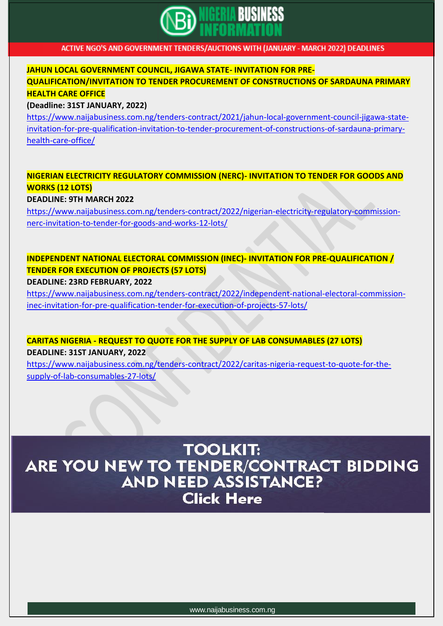

### **JAHUN LOCAL GOVERNMENT COUNCIL, JIGAWA STATE- INVITATION FOR PRE-QUALIFICATION/INVITATION TO TENDER PROCUREMENT OF CONSTRUCTIONS OF SARDAUNA PRIMARY HEALTH CARE OFFICE**

#### **(Deadline: 31ST JANUARY, 2022)**

[https://www.naijabusiness.com.ng/tenders-contract/2021/jahun-local-government-council-jigawa-state](https://www.naijabusiness.com.ng/tenders-contract/2021/jahun-local-government-council-jigawa-state-invitation-for-pre-qualification-invitation-to-tender-procurement-of-constructions-of-sardauna-primary-health-care-office/)[invitation-for-pre-qualification-invitation-to-tender-procurement-of-constructions-of-sardauna-primary](https://www.naijabusiness.com.ng/tenders-contract/2021/jahun-local-government-council-jigawa-state-invitation-for-pre-qualification-invitation-to-tender-procurement-of-constructions-of-sardauna-primary-health-care-office/)[health-care-office/](https://www.naijabusiness.com.ng/tenders-contract/2021/jahun-local-government-council-jigawa-state-invitation-for-pre-qualification-invitation-to-tender-procurement-of-constructions-of-sardauna-primary-health-care-office/)

### **NIGERIAN ELECTRICITY REGULATORY COMMISSION (NERC)- INVITATION TO TENDER FOR GOODS AND WORKS (12 LOTS)**

**DEADLINE: 9TH MARCH 2022**

[https://www.naijabusiness.com.ng/tenders-contract/2022/nigerian-electricity-regulatory-commission](https://www.naijabusiness.com.ng/tenders-contract/2022/nigerian-electricity-regulatory-commission-nerc-invitation-to-tender-for-goods-and-works-12-lots/)[nerc-invitation-to-tender-for-goods-and-works-12-lots/](https://www.naijabusiness.com.ng/tenders-contract/2022/nigerian-electricity-regulatory-commission-nerc-invitation-to-tender-for-goods-and-works-12-lots/)

# **INDEPENDENT NATIONAL ELECTORAL COMMISSION (INEC)- INVITATION FOR PRE-QUALIFICATION / TENDER FOR EXECUTION OF PROJECTS (57 LOTS)**

#### **DEADLINE: 23RD FEBRUARY, 2022**

[https://www.naijabusiness.com.ng/tenders-contract/2022/independent-national-electoral-commission](https://www.naijabusiness.com.ng/tenders-contract/2022/independent-national-electoral-commission-inec-invitation-for-pre-qualification-tender-for-execution-of-projects-57-lots/)[inec-invitation-for-pre-qualification-tender-for-execution-of-projects-57-lots/](https://www.naijabusiness.com.ng/tenders-contract/2022/independent-national-electoral-commission-inec-invitation-for-pre-qualification-tender-for-execution-of-projects-57-lots/)

**CARITAS NIGERIA - REQUEST TO QUOTE FOR THE SUPPLY OF LAB CONSUMABLES (27 LOTS) DEADLINE: 31ST JANUARY, 2022**

[https://www.naijabusiness.com.ng/tenders-contract/2022/caritas-nigeria-request-to-quote-for-the](https://www.naijabusiness.com.ng/tenders-contract/2022/caritas-nigeria-request-to-quote-for-the-supply-of-lab-consumables-27-lots/)[supply-of-lab-consumables-27-lots/](https://www.naijabusiness.com.ng/tenders-contract/2022/caritas-nigeria-request-to-quote-for-the-supply-of-lab-consumables-27-lots/)

# **TOOLKIT:** ARE YOU NEW TO TENDER/CONTRACT BIDDING **AND NEED ASSISTANCE? Click Here**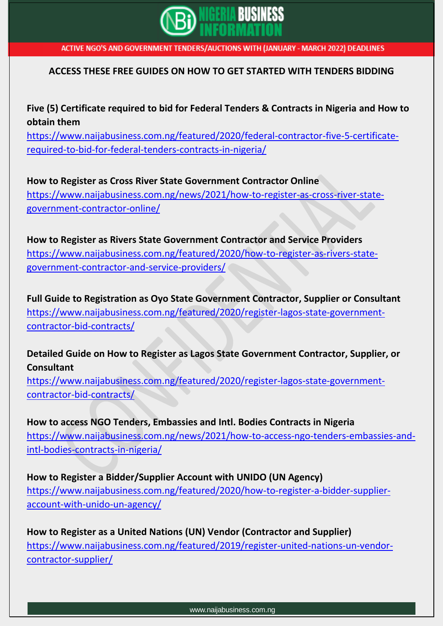

### **ACCESS THESE FREE GUIDES ON HOW TO GET STARTED WITH TENDERS BIDDING**

**Five (5) Certificate required to bid for Federal Tenders & Contracts in Nigeria and How to obtain them**

[https://www.naijabusiness.com.ng/featured/2020/federal-contractor-five-5-certificate](https://www.naijabusiness.com.ng/featured/2020/federal-contractor-five-5-certificate-required-to-bid-for-federal-tenders-contracts-in-nigeria/)[required-to-bid-for-federal-tenders-contracts-in-nigeria/](https://www.naijabusiness.com.ng/featured/2020/federal-contractor-five-5-certificate-required-to-bid-for-federal-tenders-contracts-in-nigeria/)

**How to Register as Cross River State Government Contractor Online** [https://www.naijabusiness.com.ng/news/2021/how-to-register-as-cross-river-state](https://www.naijabusiness.com.ng/news/2021/how-to-register-as-cross-river-state-government-contractor-online/)[government-contractor-online/](https://www.naijabusiness.com.ng/news/2021/how-to-register-as-cross-river-state-government-contractor-online/)

**How to Register as Rivers State Government Contractor and Service Providers** [https://www.naijabusiness.com.ng/featured/2020/how-to-register-as-rivers-state](https://www.naijabusiness.com.ng/featured/2020/how-to-register-as-rivers-state-government-contractor-and-service-providers/)[government-contractor-and-service-providers/](https://www.naijabusiness.com.ng/featured/2020/how-to-register-as-rivers-state-government-contractor-and-service-providers/)

**Full Guide to Registration as Oyo State Government Contractor, Supplier or Consultant** [https://www.naijabusiness.com.ng/featured/2020/register-lagos-state-government](https://www.naijabusiness.com.ng/featured/2020/register-lagos-state-government-contractor-bid-contracts/)[contractor-bid-contracts/](https://www.naijabusiness.com.ng/featured/2020/register-lagos-state-government-contractor-bid-contracts/)

**Detailed Guide on How to Register as Lagos State Government Contractor, Supplier, or Consultant**

[https://www.naijabusiness.com.ng/featured/2020/register-lagos-state-government](https://www.naijabusiness.com.ng/featured/2020/register-lagos-state-government-contractor-bid-contracts/)[contractor-bid-contracts/](https://www.naijabusiness.com.ng/featured/2020/register-lagos-state-government-contractor-bid-contracts/)

**How to access NGO Tenders, Embassies and Intl. Bodies Contracts in Nigeria** [https://www.naijabusiness.com.ng/news/2021/how-to-access-ngo-tenders-embassies-and](https://www.naijabusiness.com.ng/news/2021/how-to-access-ngo-tenders-embassies-and-intl-bodies-contracts-in-nigeria/)[intl-bodies-contracts-in-nigeria/](https://www.naijabusiness.com.ng/news/2021/how-to-access-ngo-tenders-embassies-and-intl-bodies-contracts-in-nigeria/)

**How to Register a Bidder/Supplier Account with UNIDO (UN Agency)** [https://www.naijabusiness.com.ng/featured/2020/how-to-register-a-bidder-supplier](https://www.naijabusiness.com.ng/featured/2020/how-to-register-a-bidder-supplier-account-with-unido-un-agency/)[account-with-unido-un-agency/](https://www.naijabusiness.com.ng/featured/2020/how-to-register-a-bidder-supplier-account-with-unido-un-agency/)

**How to Register as a United Nations (UN) Vendor (Contractor and Supplier)** [https://www.naijabusiness.com.ng/featured/2019/register-united-nations-un-vendor](https://www.naijabusiness.com.ng/featured/2019/register-united-nations-un-vendor-contractor-supplier/)[contractor-supplier/](https://www.naijabusiness.com.ng/featured/2019/register-united-nations-un-vendor-contractor-supplier/)